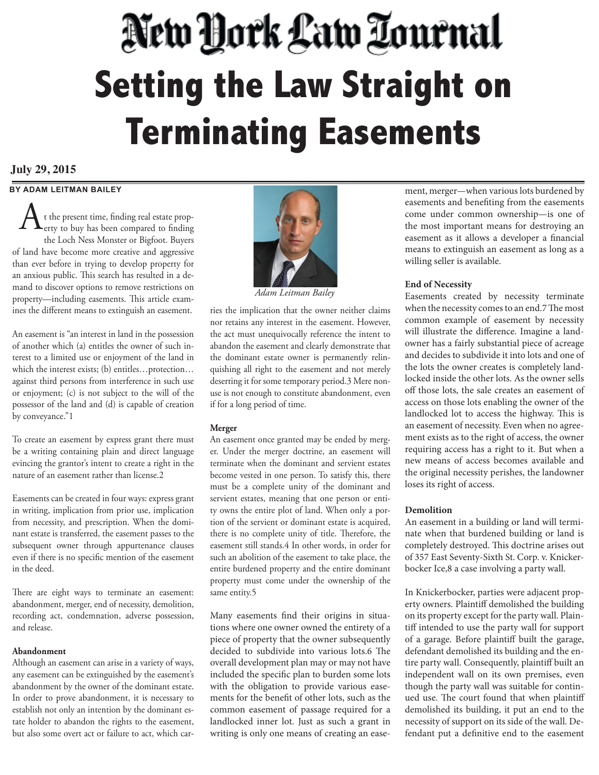# New York Law Tournal **Setting the Law Straight on Terminating Easements**

# **July 29, 2015**

# **BY ADAM LEITMAN BAILEY**

t the present time, finding real estate property to buy has been compared to finding the Loch Ness Monster or Bigfoot. Buyers of land have become more creative and aggressive than ever before in trying to develop property for an anxious public. This search has resulted in a demand to discover options to remove restrictions on property—including easements. This article examines the different means to extinguish an easement. A

An easement is "an interest in land in the possession of another which (a) entitles the owner of such interest to a limited use or enjoyment of the land in which the interest exists; (b) entitles…protection… against third persons from interference in such use or enjoyment; (c) is not subject to the will of the possessor of the land and (d) is capable of creation by conveyance."1

To create an easement by express grant there must be a writing containing plain and direct language evincing the grantor's intent to create a right in the nature of an easement rather than license.2

Easements can be created in four ways: express grant in writing, implication from prior use, implication from necessity, and prescription. When the dominant estate is transferred, the easement passes to the subsequent owner through appurtenance clauses even if there is no specific mention of the easement in the deed.

There are eight ways to terminate an easement: abandonment, merger, end of necessity, demolition, recording act, condemnation, adverse possession, and release.

## **Abandonment**

Although an easement can arise in a variety of ways, any easement can be extinguished by the easement's abandonment by the owner of the dominant estate. In order to prove abandonment, it is necessary to establish not only an intention by the dominant estate holder to abandon the rights to the easement, but also some overt act or failure to act, which car-



*Adam Leitman Bailey*

ries the implication that the owner neither claims nor retains any interest in the easement. However, the act must unequivocally reference the intent to abandon the easement and clearly demonstrate that the dominant estate owner is permanently relinquishing all right to the easement and not merely deserting it for some temporary period.3 Mere nonuse is not enough to constitute abandonment, even if for a long period of time.

# **Merger**

An easement once granted may be ended by merger. Under the merger doctrine, an easement will terminate when the dominant and servient estates become vested in one person. To satisfy this, there must be a complete unity of the dominant and servient estates, meaning that one person or entity owns the entire plot of land. When only a portion of the servient or dominant estate is acquired, there is no complete unity of title. Therefore, the easement still stands.4 In other words, in order for such an abolition of the easement to take place, the entire burdened property and the entire dominant property must come under the ownership of the same entity.5

Many easements find their origins in situations where one owner owned the entirety of a piece of property that the owner subsequently decided to subdivide into various lots.6 The overall development plan may or may not have included the specific plan to burden some lots with the obligation to provide various easements for the benefit of other lots, such as the common easement of passage required for a landlocked inner lot. Just as such a grant in writing is only one means of creating an easement, merger—when various lots burdened by easements and benefiting from the easements come under common ownership—is one of the most important means for destroying an easement as it allows a developer a financial means to extinguish an easement as long as a willing seller is available.

# **End of Necessity**

Easements created by necessity terminate when the necessity comes to an end.7 The most common example of easement by necessity will illustrate the difference. Imagine a landowner has a fairly substantial piece of acreage and decides to subdivide it into lots and one of the lots the owner creates is completely landlocked inside the other lots. As the owner sells off those lots, the sale creates an easement of access on those lots enabling the owner of the landlocked lot to access the highway. This is an easement of necessity. Even when no agreement exists as to the right of access, the owner requiring access has a right to it. But when a new means of access becomes available and the original necessity perishes, the landowner loses its right of access.

# **Demolition**

An easement in a building or land will terminate when that burdened building or land is completely destroyed. This doctrine arises out of 357 East Seventy-Sixth St. Corp. v. Knickerbocker Ice,8 a case involving a party wall.

In Knickerbocker, parties were adjacent property owners. Plaintiff demolished the building on its property except for the party wall. Plaintiff intended to use the party wall for support of a garage. Before plaintiff built the garage, defendant demolished its building and the entire party wall. Consequently, plaintiff built an independent wall on its own premises, even though the party wall was suitable for continued use. The court found that when plaintiff demolished its building, it put an end to the necessity of support on its side of the wall. Defendant put a definitive end to the easement